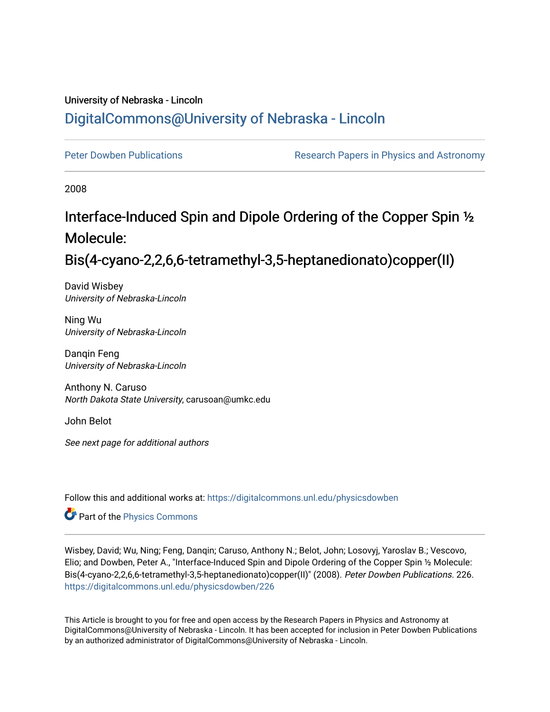# University of Nebraska - Lincoln [DigitalCommons@University of Nebraska - Lincoln](https://digitalcommons.unl.edu/)

[Peter Dowben Publications](https://digitalcommons.unl.edu/physicsdowben) **Research Papers in Physics and Astronomy** 

2008

# Interface-Induced Spin and Dipole Ordering of the Copper Spin ½ Molecule:

Bis(4-cyano-2,2,6,6-tetramethyl-3,5-heptanedionato)copper(II)

David Wisbey University of Nebraska-Lincoln

Ning Wu University of Nebraska-Lincoln

Danqin Feng University of Nebraska-Lincoln

Anthony N. Caruso North Dakota State University, carusoan@umkc.edu

John Belot

See next page for additional authors

Follow this and additional works at: [https://digitalcommons.unl.edu/physicsdowben](https://digitalcommons.unl.edu/physicsdowben?utm_source=digitalcommons.unl.edu%2Fphysicsdowben%2F226&utm_medium=PDF&utm_campaign=PDFCoverPages) 

Part of the [Physics Commons](http://network.bepress.com/hgg/discipline/193?utm_source=digitalcommons.unl.edu%2Fphysicsdowben%2F226&utm_medium=PDF&utm_campaign=PDFCoverPages)

Wisbey, David; Wu, Ning; Feng, Danqin; Caruso, Anthony N.; Belot, John; Losovyj, Yaroslav B.; Vescovo, Elio; and Dowben, Peter A., "Interface-Induced Spin and Dipole Ordering of the Copper Spin ½ Molecule: Bis(4-cyano-2,2,6,6-tetramethyl-3,5-heptanedionato)copper(II)" (2008). Peter Dowben Publications. 226. [https://digitalcommons.unl.edu/physicsdowben/226](https://digitalcommons.unl.edu/physicsdowben/226?utm_source=digitalcommons.unl.edu%2Fphysicsdowben%2F226&utm_medium=PDF&utm_campaign=PDFCoverPages) 

This Article is brought to you for free and open access by the Research Papers in Physics and Astronomy at DigitalCommons@University of Nebraska - Lincoln. It has been accepted for inclusion in Peter Dowben Publications by an authorized administrator of DigitalCommons@University of Nebraska - Lincoln.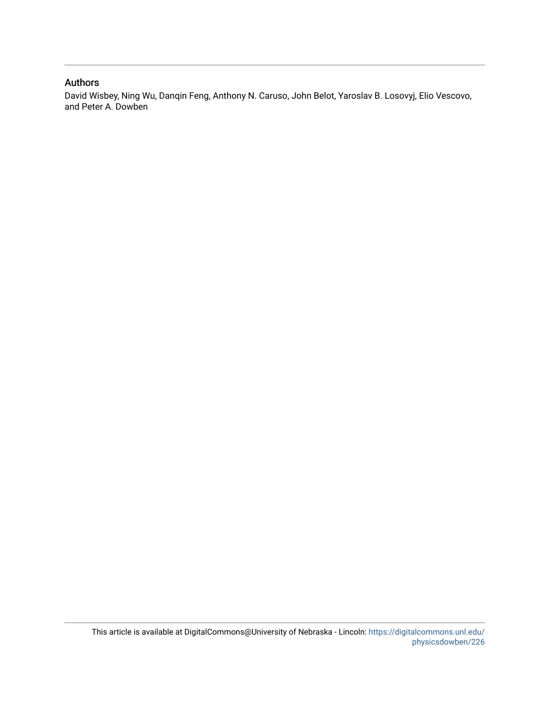### Authors

David Wisbey, Ning Wu, Danqin Feng, Anthony N. Caruso, John Belot, Yaroslav B. Losovyj, Elio Vescovo, and Peter A. Dowben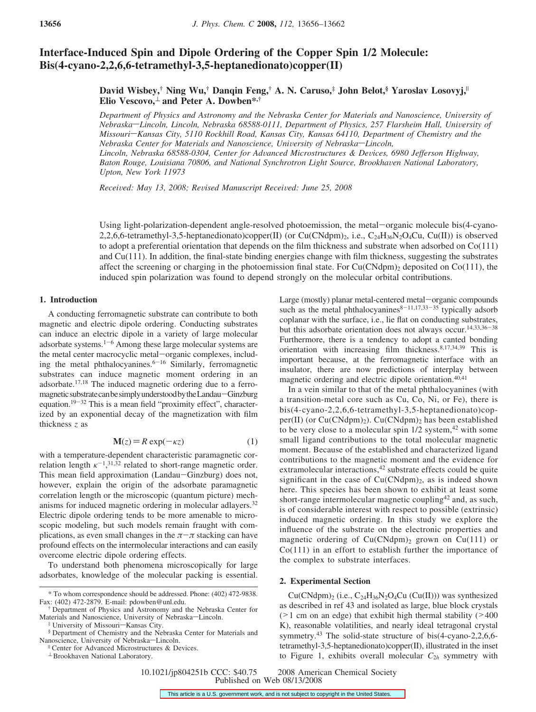## **Interface-Induced Spin and Dipole Ordering of the Copper Spin 1/2 Molecule: Bis(4-cyano-2,2,6,6-tetramethyl-3,5-heptanedionato)copper(II)**

#### **David Wisbey,† Ning Wu,† Danqin Feng,† A. N. Caruso,‡ John Belot,§ Yaroslav Losovyj,**<sup>|</sup> **Elio Vescovo,**<sup>⊥</sup> **and Peter A. Dowben\*,†**

*Department of Physics and Astronomy and the Nebraska Center for Materials and Nanoscience, University of Nebraska*—*Lincoln, Lincoln, Nebraska 68588-0111, Department of Physics, 257 Flarsheim Hall, University of Missouri*-Kansas City, 5110 Rockhill Road, Kansas City, Kansas 64110, Department of Chemistry and the *Nebraska Center for Materials and Nanoscience, University of Nebraska*—Lincoln, *Lincoln, Nebraska 68588-0304, Center for Ad*V*anced Microstructures & De*V*ices, 6980 Jefferson Highway,* Baton Rouge, Louisiana 70806, and National Synchrotron Light Source, Brookhaven National Laboratory, *Upton, New York 11973*

*Received: May 13, 2008; Revised Manuscript Received: June 25, 2008* 

Using light-polarization-dependent angle-resolved photoemission, the metal-organic molecule bis(4-cyano-2,2,6,6-tetramethyl-3,5-heptanedionato)copper(II) (or Cu(CNdpm)<sub>2</sub>, i.e., C<sub>24</sub>H<sub>36</sub>N<sub>2</sub>O<sub>4</sub>Cu, Cu(II)) is observed to adopt a preferential orientation that depends on the film thickness and substrate when adsorbed on Co(111) and Cu(111). In addition, the final-state binding energies change with film thickness, suggesting the substrates affect the screening or charging in the photoemission final state. For  $Cu(CNdpm)_2$  deposited on  $Co(111)$ , the induced spin polarization was found to depend strongly on the molecular orbital contributions.

#### **1. Introduction**

A conducting ferromagnetic substrate can contribute to both magnetic and electric dipole ordering. Conducting substrates can induce an electric dipole in a variety of large molecular adsorbate systems. $1-6$  Among these large molecular systems are the metal center macrocyclic metal-organic complexes, including the metal phthalocyanines. $6-16$  Similarly, ferromagnetic substrates can induce magnetic moment ordering in an adsorbate.17,18 The induced magnetic ordering due to a ferromagnetic substrate can be simply understood by the Landau-Ginzburg equation.19-<sup>32</sup> This is a mean field "proximity effect", characterized by an exponential decay of the magnetization with film thickness *z* as

$$
\mathbf{M}(z) = R \exp(-\kappa z) \tag{1}
$$

 **(1)<br>with a temperature-dependent characteristic paramagnetic cor**relation length  $\kappa^{-1}$ ,<sup>31,32</sup> related to short-range magnetic order. This mean field approximation (Landau-Ginzburg) does not, however, explain the origin of the adsorbate paramagnetic correlation length or the microscopic (quantum picture) mechanisms for induced magnetic ordering in molecular adlayers.32 Electric dipole ordering tends to be more amenable to microscopic modeling, but such models remain fraught with complications, as even small changes in the  $\pi-\pi$  stacking can have profound effects on the intermolecular interactions and can easily overcome electric dipole ordering effects.

To understand both phenomena microscopically for large adsorbates, knowledge of the molecular packing is essential. Large (mostly) planar metal-centered metal-organic compounds such as the metal phthalocyanines<sup>8-11,17,33-35</sup> typically adsorb coplanar with the surface, i.e., lie flat on conducting substrates, but this adsorbate orientation does not always occur.14,33,36-<sup>38</sup> Furthermore, there is a tendency to adopt a canted bonding orientation with increasing film thickness.8,17,34,39 This is important because, at the ferromagnetic interface with an insulator, there are now predictions of interplay between magnetic ordering and electric dipole orientation.<sup>40,41</sup>

In a vein similar to that of the metal phthalocyanines (with a transition-metal core such as Cu, Co, Ni, or Fe), there is bis(4-cyano-2,2,6,6-tetramethyl-3,5-heptanedionato)copper(II) (or  $Cu(CNdpm)<sub>2</sub>$ ).  $Cu(CNdpm)<sub>2</sub>$  has been established to be very close to a molecular spin  $1/2$  system,  $42$  with some small ligand contributions to the total molecular magnetic moment. Because of the established and characterized ligand contributions to the magnetic moment and the evidence for extramolecular interactions,<sup>42</sup> substrate effects could be quite significant in the case of  $Cu(CNdpm)<sub>2</sub>$ , as is indeed shown here. This species has been shown to exhibit at least some short-range intermolecular magnetic coupling<sup>42</sup> and, as such, is of considerable interest with respect to possible (extrinsic) induced magnetic ordering. In this study we explore the influence of the substrate on the electronic properties and magnetic ordering of  $Cu(CNdpm)_2$  grown on  $Cu(111)$  or Co(111) in an effort to establish further the importance of the complex to substrate interfaces.

#### **2. Experimental Section**

 $Cu(CNdpm)$ <sub>2</sub> (i.e., C<sub>24</sub>H<sub>36</sub>N<sub>2</sub>O<sub>4</sub>Cu (Cu(II))) was synthesized as described in ref 43 and isolated as large, blue block crystals (>1 cm on an edge) that exhibit high thermal stability (><sup>400</sup> K), reasonable volatilities, and nearly ideal tetragonal crystal symmetry.<sup>43</sup> The solid-state structure of bis(4-cyano-2,2,6,6tetramethyl-3,5-heptanedionato)copper(II), illustrated in the inset to Figure 1, exhibits overall molecular  $C_{2h}$  symmetry with

10.1021/jp804251b CCC: \$40.75 2008 American Chemical Society Published on Web 08/13/2008

<sup>\*</sup> To whom correspondence should be addressed. Phone: (402) 472-9838. Fax: (402) 472-2879. E-mail: pdowben@unl.edu.

<sup>†</sup> Department of Physics and Astronomy and the Nebraska Center for Materials and Nanoscience, University of Nebraska-Lincoln.

<sup>#</sup> University of Missouri-Kansas City.

<sup>§</sup> Department of Chemistry and the Nebraska Center for Materials and Nanoscience, University of Nebraska-Lincoln.

Center for Advanced Microstructures & Devices.

<sup>⊥</sup> Brookhaven National Laboratory.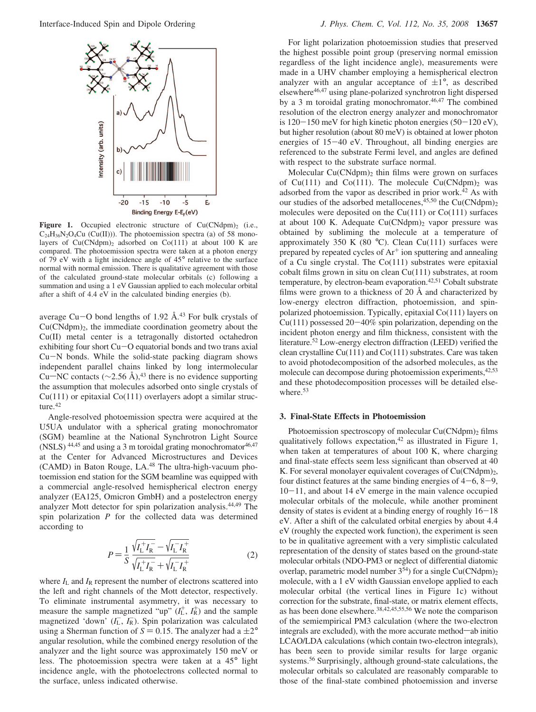

**Figure 1.** Occupied electronic structure of  $Cu(CNdpm)$ <sub>2</sub> (i.e.,  $C_{24}H_{36}N_2O_4Cu$  (Cu(II))). The photoemission spectra (a) of 58 monolayers of  $Cu(CNdpm)<sub>2</sub>$  adsorbed on  $Co(111)$  at about 100 K are compared. The photoemission spectra were taken at a photon energy of 79 eV with a light incidence angle of 45° relative to the surface normal with normal emission. There is qualitative agreement with those of the calculated ground-state molecular orbitals (c) following a summation and using a 1 eV Gaussian applied to each molecular orbital after a shift of 4.4 eV in the calculated binding energies (b).

average Cu-O bond lengths of 1.92  $\AA$ .<sup>43</sup> For bulk crystals of  $Cu(CNdpm)<sub>2</sub>$ , the immediate coordination geometry about the Cu(II) metal center is a tetragonally distorted octahedron exhibiting four short Cu-O equatorial bonds and two trans axial Cu-N bonds. While the solid-state packing diagram shows independent parallel chains linked by long intermolecular Cu—NC contacts ( $\sim$ 2.56 Å),<sup>43</sup> there is no evidence supporting the assumption that molecules adsorbed onto single crystals of Cu(111) or epitaxial Co(111) overlayers adopt a similar structure.<sup>42</sup>

Angle-resolved photoemission spectra were acquired at the U5UA undulator with a spherical grating monochromator (SGM) beamline at the National Synchrotron Light Source (NSLS)  $44,45$  and using a 3 m toroidal grating monochromator  $46,47$ at the Center for Advanced Microstructures and Devices (CAMD) in Baton Rouge, LA.48 The ultra-high-vacuum photoemission end station for the SGM beamline was equipped with a commercial angle-resolved hemispherical electron energy analyzer (EA125, Omicron GmbH) and a postelectron energy analyzer Mott detector for spin polarization analysis.44,49 The spin polarization *P* for the collected data was determined according to

$$
P = \frac{1}{S} \frac{\sqrt{I_{\rm L}^{+} I_{\rm R}^{-}} - \sqrt{I_{\rm L}^{-} I_{\rm R}^{+}}}{\sqrt{I_{\rm L}^{+} I_{\rm R}^{-}} + \sqrt{I_{\rm L}^{-} I_{\rm R}^{+}}} \tag{2}
$$

where  $I_L$  and  $I_R$  represent the number of electrons scattered into the left and right channels of the Mott detector, respectively. To eliminate instrumental asymmetry, it was necessary to measure the sample magnetized "up"  $(I_L^+, I_R^+)$  and the sample magnetized 'down'  $(I_L, I_R)$ . Spin polarization was calculated using a Sherman function of  $S = 0.15$ . The analyzer had a  $\pm 2^{\circ}$ angular resolution, while the combined energy resolution of the analyzer and the light source was approximately 150 meV or less. The photoemission spectra were taken at a 45° light incidence angle, with the photoelectrons collected normal to the surface, unless indicated otherwise.

For light polarization photoemission studies that preserved the highest possible point group (preserving normal emission regardless of the light incidence angle), measurements were made in a UHV chamber employing a hemispherical electron analyzer with an angular acceptance of  $\pm 1^{\circ}$ , as described elsewhere46,47 using plane-polarized synchrotron light dispersed by a 3 m toroidal grating monochromator.<sup>46,47</sup> The combined resolution of the electron energy analyzer and monochromator is  $120-150$  meV for high kinetic photon energies  $(50-120 \text{ eV})$ , but higher resolution (about 80 meV) is obtained at lower photon energies of 15-40 eV. Throughout, all binding energies are referenced to the substrate Fermi level, and angles are defined with respect to the substrate surface normal.

Molecular  $Cu(CNdpm)$ <sub>2</sub> thin films were grown on surfaces of Cu(111) and Co(111). The molecule Cu(CNdpm)<sub>2</sub> was adsorbed from the vapor as described in prior work.42 As with our studies of the adsorbed metallocenes,  $45,50$  the Cu(CNdpm)<sub>2</sub> molecules were deposited on the  $Cu(111)$  or  $Co(111)$  surfaces at about 100 K. Adequate  $Cu(CNdpm)<sub>2</sub>$  vapor pressure was obtained by subliming the molecule at a temperature of approximately 350 K (80  $^{\circ}$ C). Clean Cu(111) surfaces were prepared by repeated cycles of Ar<sup>+</sup> ion sputtering and annealing of a Cu single crystal. The Co(111) substrates were epitaxial cobalt films grown in situ on clean Cu(111) substrates, at room temperature, by electron-beam evaporation.<sup>42,51</sup> Cobalt substrate films were grown to a thickness of 20  $\AA$  and characterized by low-energy electron diffraction, photoemission, and spinpolarized photoemission. Typically, epitaxial Co(111) layers on  $Cu(111)$  possessed  $20-40\%$  spin polarization, depending on the incident photon energy and film thickness, consistent with the literature.52 Low-energy electron diffraction (LEED) verified the clean crystalline Cu(111) and Co(111) substrates. Care was taken to avoid photodecomposition of the adsorbed molecules, as the molecule can decompose during photoemission experiments,  $42,53$ and these photodecomposition processes will be detailed elsewhere.53

#### **3. Final-State Effects in Photoemission**

Photoemission spectroscopy of molecular  $Cu(CNdpm)$ <sub>2</sub> films qualitatively follows expectation, $42$  as illustrated in Figure 1, when taken at temperatures of about 100 K, where charging and final-state effects seem less significant than observed at 40 K. For several monolayer equivalent coverages of  $Cu(CNdpm)<sub>2</sub>$ , four distinct features at the same binding energies of  $4-6$ ,  $8-9$ ,  $10-11$ , and about 14 eV emerge in the main valence occupied molecular orbitals of the molecule, while another prominent density of states is evident at a binding energy of roughly 16-<sup>18</sup> eV. After a shift of the calculated orbital energies by about 4.4 eV (roughly the expected work function), the experiment is seen to be in qualitative agreement with a very simplistic calculated representation of the density of states based on the ground-state molecular orbitals (NDO-PM3 or neglect of differential diatomic overlap, parametric model number  $3<sup>54</sup>$ ) for a single Cu(CNdpm)<sub>2</sub> molecule, with a 1 eV width Gaussian envelope applied to each molecular orbital (the vertical lines in Figure 1c) without correction for the substrate, final-state, or matrix element effects, as has been done elsewhere.38,42,45,55,56 We note the comparison of the semiempirical PM3 calculation (where the two-electron  $integrals$  are excluded), with the more accurate method $\rightarrow$ ab initio LCAO/LDA calculations (which contain two-electron integrals), has been seen to provide similar results for large organic systems.56 Surprisingly, although ground-state calculations, the molecular orbitals so calculated are reasonably comparable to those of the final-state combined photoemission and inverse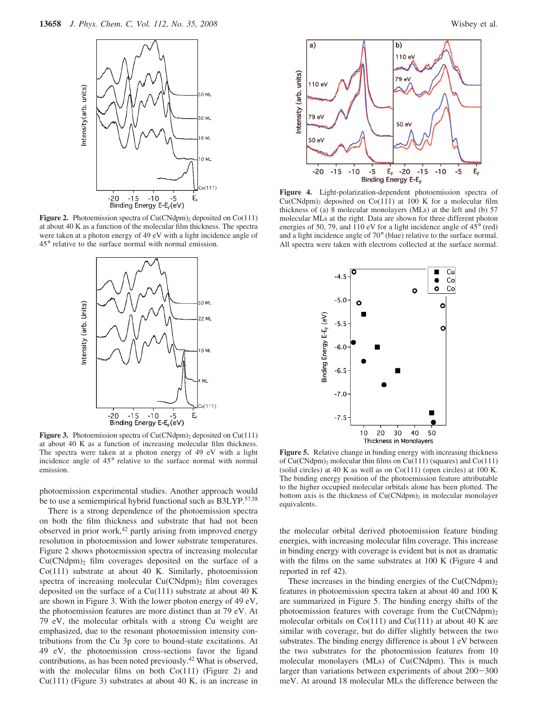

**Figure 2.** Photoemission spectra of Cu(CNdpm)<sub>2</sub> deposited on Co(111) at about 40 K as a function of the molecular film thickness. The spectra were taken at a photon energy of 49 eV with a light incidence angle of 45° relative to the surface normal with normal emission.



**Figure 3.** Photoemission spectra of Cu(CNdpm)<sub>2</sub> deposited on Cu(111) at about 40 K as a function of increasing molecular film thickness. The spectra were taken at a photon energy of 49 eV with a light incidence angle of 45° relative to the surface normal with normal emission.

photoemission experimental studies. Another approach would be to use a semiempirical hybrid functional such as B3LYP.<sup>57,58</sup>

There is a strong dependence of the photoemission spectra on both the film thickness and substrate that had not been observed in prior work,<sup>42</sup> partly arising from improved energy resolution in photoemission and lower substrate temperatures. Figure 2 shows photoemission spectra of increasing molecular  $Cu(CNdpm)<sub>2</sub>$  film coverages deposited on the surface of a Co(111) substrate at about 40 K. Similarly, photoemission spectra of increasing molecular  $Cu(CNdpm)$ <sub>2</sub> film coverages deposited on the surface of a Cu(111) substrate at about 40 K are shown in Figure 3. With the lower photon energy of 49 eV, the photoemission features are more distinct than at 79 eV. At 79 eV, the molecular orbitals with a strong Cu weight are emphasized, due to the resonant photoemission intensity contributions from the Cu 3p core to bound-state excitations. At 49 eV, the photoemission cross-sections favor the ligand contributions, as has been noted previously.42 What is observed, with the molecular films on both Co(111) (Figure 2) and Cu(111) (Figure 3) substrates at about 40 K, is an increase in





**Figure 4.** Light-polarization-dependent photoemission spectra of  $Cu(CNdpm)<sub>2</sub>$  deposited on  $Co(111)$  at 100 K for a molecular film thickness of (a) 8 molecular monolayers (MLs) at the left and (b) 57 molecular MLs at the right. Data are shown for three different photon energies of 50, 79, and 110 eV for a light incidence angle of 45° (red) and a light incidence angle of 70° (blue) relative to the surface normal. All spectra were taken with electrons collected at the surface normal.



**Figure 5.** Relative change in binding energy with increasing thickness of  $Cu(CNdpm)<sub>2</sub>$  molecular thin films on  $Cu(111)$  (squares) and  $Co(111)$ (solid circles) at 40 K as well as on  $Co(111)$  (open circles) at 100 K. The binding energy position of the photoemission feature attributable to the higher occupied molecular orbitals alone has been plotted. The bottom axis is the thickness of  $Cu(CNdpm)<sub>2</sub>$  in molecular monolayer equivalents.

the molecular orbital derived photoemission feature binding energies, with increasing molecular film coverage. This increase in binding energy with coverage is evident but is not as dramatic with the films on the same substrates at 100 K (Figure 4 and reported in ref 42).

These increases in the binding energies of the  $Cu(CNdpm)$ <sub>2</sub> features in photoemission spectra taken at about 40 and 100 K are summarized in Figure 5. The binding energy shifts of the photoemission features with coverage from the  $Cu(CNdpm)<sub>2</sub>$ molecular orbitals on  $Co(111)$  and  $Cu(111)$  at about 40 K are similar with coverage, but do differ slightly between the two substrates. The binding energy difference is about 1 eV between the two substrates for the photoemission features from 10 molecular monolayers (MLs) of Cu(CNdpm). This is much larger than variations between experiments of about 200-<sup>300</sup> meV. At around 18 molecular MLs the difference between the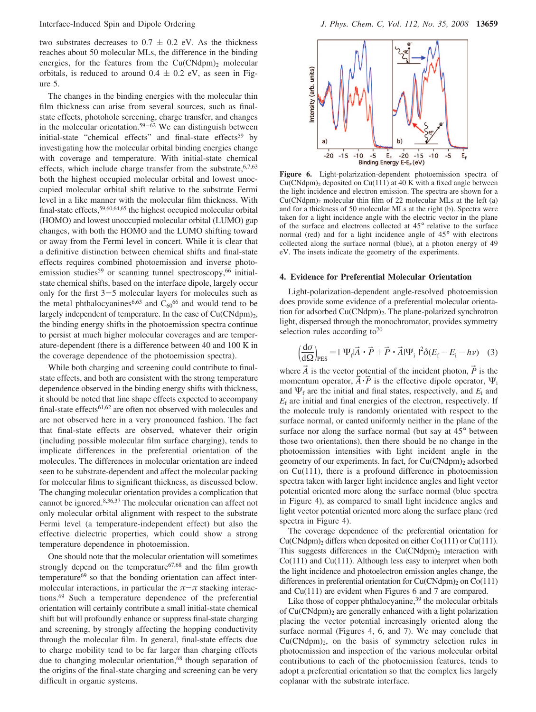two substrates decreases to  $0.7 \pm 0.2$  eV. As the thickness reaches about 50 molecular MLs, the difference in the binding energies, for the features from the  $Cu(CNdpm)<sub>2</sub>$  molecular orbitals, is reduced to around  $0.4 \pm 0.2$  eV, as seen in Figure 5.

The changes in the binding energies with the molecular thin film thickness can arise from several sources, such as finalstate effects, photohole screening, charge transfer, and changes in the molecular orientation.<sup>59-62</sup> We can distinguish between initial-state "chemical effects" and final-state effects<sup>59</sup> by investigating how the molecular orbital binding energies change with coverage and temperature. With initial-state chemical effects, which include charge transfer from the substrate, 6,7,63 both the highest occupied molecular orbital and lowest unoccupied molecular orbital shift relative to the substrate Fermi level in a like manner with the molecular film thickness. With final-state effects,59,60,64,65 the highest occupied molecular orbital (HOMO) and lowest unoccupied molecular orbital (LUMO) gap changes, with both the HOMO and the LUMO shifting toward or away from the Fermi level in concert. While it is clear that a definitive distinction between chemical shifts and final-state effects requires combined photoemission and inverse photoemission studies<sup>59</sup> or scanning tunnel spectroscopy,<sup>66</sup> initialstate chemical shifts, based on the interface dipole, largely occur only for the first  $3-5$  molecular layers for molecules such as the metal phthalocyanines<sup>6,63</sup> and  $C_{60}$ <sup>66</sup> and would tend to be largely independent of temperature. In the case of  $Cu(CNdpm)<sub>2</sub>$ , the binding energy shifts in the photoemission spectra continue to persist at much higher molecular coverages and are temperature-dependent (there is a difference between 40 and 100 K in the coverage dependence of the photoemission spectra).

While both charging and screening could contribute to finalstate effects, and both are consistent with the strong temperature dependence observed in the binding energy shifts with thickness, it should be noted that line shape effects expected to accompany final-state effects61,62 are often not observed with molecules and are not observed here in a very pronounced fashion. The fact that final-state effects are observed, whatever their origin (including possible molecular film surface charging), tends to implicate differences in the preferential orientation of the molecules. The differences in molecular orientation are indeed seen to be substrate-dependent and affect the molecular packing for molecular films to significant thickness, as discussed below. The changing molecular orientation provides a complication that cannot be ignored.8,36,37 The molecular orienation can affect not only molecular orbital alignment with respect to the substrate Fermi level (a temperature-independent effect) but also the effective dielectric properties, which could show a strong temperature dependence in photoemission.

One should note that the molecular orientation will sometimes strongly depend on the temperature<sup>67,68</sup> and the film growth temperature<sup>69</sup> so that the bonding orientation can affect intermolecular interactions, in particular the  $\pi-\pi$  stacking interactions.69 Such a temperature dependence of the preferential orientation will certainly contribute a small initial-state chemical shift but will profoundly enhance or suppress final-state charging and screening, by strongly affecting the hopping conductivity through the molecular film. In general, final-state effects due to charge mobility tend to be far larger than charging effects due to changing molecular orientation,<sup>68</sup> though separation of the origins of the final-state charging and screening can be very difficult in organic systems.



**Figure 6.** Light-polarization-dependent photoemission spectra of  $Cu(CNdpm)<sub>2</sub>$  deposited on  $Cu(111)$  at 40 K with a fixed angle between the light incidence and electron emission. The spectra are shown for a Cu(CNdpm)2 molecular thin film of 22 molecular MLs at the left (a) and for a thickness of 50 molecular MLs at the right (b). Spectra were taken for a light incidence angle with the electric vector in the plane of the surface and electrons collected at 45° relative to the surface normal (red) and for a light incidence angle of 45° with electrons collected along the surface normal (blue), at a photon energy of 49 eV. The insets indicate the geometry of the experiments.

#### **4. Evidence for Preferential Molecular Orientation**

Light-polarization-dependent angle-resolved photoemission does provide some evidence of a preferential molecular orientation for adsorbed Cu(CNdpm)<sub>2</sub>. The plane-polarized synchrotron light, dispersed through the monochromator, provides symmetry selection rules according to<sup>70</sup>

$$
\left(\frac{\mathrm{d}\sigma}{\mathrm{d}\Omega}\right)_{\mathrm{PES}} = |\langle \Psi_{\mathrm{f}} | \vec{A} \cdot \vec{P} + \vec{P} \cdot \vec{A} | \Psi_{\mathrm{i}} \rangle|^2 \delta(E_{\mathrm{f}} - E_{\mathrm{i}} - h\nu) \quad (3)
$$

where  $\vec{A}$  is the vector potential of the incident photon,  $\vec{P}$  is the momentum operator,  $\vec{A} \cdot \vec{P}$  is the effective dipole operator,  $\Psi_i$ and  $\Psi_f$  are the initial and final states, respectively, and  $E_i$  and  $E_f$  are initial and final energies of the electron, respectively. If the molecule truly is randomly orientated with respect to the surface normal, or canted uniformly neither in the plane of the surface nor along the surface normal (but say at 45° between those two orientations), then there should be no change in the photoemission intensities with light incident angle in the geometry of our experiments. In fact, for Cu(CNdpm)<sub>2</sub> adsorbed on Cu(111), there is a profound difference in photoemission spectra taken with larger light incidence angles and light vector potential oriented more along the surface normal (blue spectra in Figure 4), as compared to small light incidence angles and light vector potential oriented more along the surface plane (red spectra in Figure 4).

The coverage dependence of the preferential orientation for  $Cu(CNdpm)<sub>2</sub>$  differs when deposited on either  $Co(111)$  or  $Cu(111)$ . This suggests differences in the  $Cu(CNdpm)$ <sub>2</sub> interaction with Co(111) and Cu(111). Although less easy to interpret when both the light incidence and photoelectron emission angles change, the differences in preferential orientation for  $Cu(CNdpm)$ <sub>2</sub> on  $Co(111)$ and Cu(111) are evident when Figures 6 and 7 are compared.

Like those of copper phthalocyanine, $39$  the molecular orbitals of  $Cu(CNdpm)<sub>2</sub>$  are generally enhanced with a light polarization placing the vector potential increasingly oriented along the surface normal (Figures 4, 6, and 7). We may conclude that  $Cu(CNdpm)<sub>2</sub>$ , on the basis of symmetry selection rules in photoemission and inspection of the various molecular orbital contributions to each of the photoemission features, tends to adopt a preferential orientation so that the complex lies largely coplanar with the substrate interface.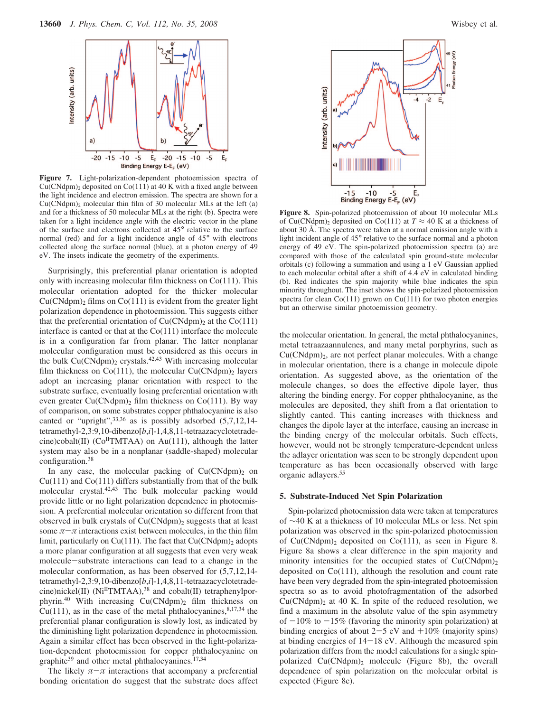

**Figure 7.** Light-polarization-dependent photoemission spectra of  $Cu(CNdpm)<sub>2</sub>$  deposited on  $Co(111)$  at 40 K with a fixed angle between the light incidence and electron emission. The spectra are shown for a  $Cu(CNdpm)<sub>2</sub>$  molecular thin film of 30 molecular MLs at the left (a) and for a thickness of 50 molecular MLs at the right (b). Spectra were taken for a light incidence angle with the electric vector in the plane of the surface and electrons collected at 45° relative to the surface normal (red) and for a light incidence angle of 45° with electrons collected along the surface normal (blue), at a photon energy of 49 eV. The insets indicate the geometry of the experiments.

Surprisingly, this preferential planar orientation is adopted only with increasing molecular film thickness on Co(111). This molecular orientation adopted for the thicker molecular  $Cu(CNdpm)<sub>2</sub>$  films on  $Co(111)$  is evident from the greater light polarization dependence in photoemission. This suggests either that the preferential orientation of  $Cu(CNdpm)<sub>2</sub>$  at the  $Co(111)$ interface is canted or that at the  $Co(111)$  interface the molecule is in a configuration far from planar. The latter nonplanar molecular configuration must be considered as this occurs in the bulk  $Cu(CNdpm)<sub>2</sub>$  crystals.<sup>42,43</sup> With increasing molecular film thickness on  $Co(111)$ , the molecular  $Cu(CNdpm)<sub>2</sub>$  layers adopt an increasing planar orientation with respect to the substrate surface, eventually losing preferential orientation with even greater  $Cu(CNdpm)<sub>2</sub>$  film thickness on Co(111). By way of comparison, on some substrates copper phthalocyanine is also canted or "upright",<sup>33,36</sup> as is possibly adsorbed (5,7,12,14tetramethyl-2,3:9,10-dibenzo[*b*,*i*]-1,4,8,11-tetraazacyclotetradecine)cobalt(II) ( $Co<sup>H</sup>TMTAA$ ) on Au(111), although the latter system may also be in a nonplanar (saddle-shaped) molecular configuration.38

In any case, the molecular packing of  $Cu(CNdpm)<sub>2</sub>$  on  $Cu(111)$  and  $Co(111)$  differs substantially from that of the bulk molecular crystal.42,43 The bulk molecular packing would provide little or no light polarization dependence in photoemission. A preferential molecular orientation so different from that observed in bulk crystals of  $Cu(CNdpm)<sub>2</sub>$  suggests that at least some  $\pi-\pi$  interactions exist between molecules, in the thin film limit, particularly on  $Cu(111)$ . The fact that  $Cu(CNdpm)<sub>2</sub>$  adopts a more planar configuration at all suggests that even very weak molecule-substrate interactions can lead to a change in the molecular conformation, as has been observed for (5,7,12,14 tetramethyl-2,3:9,10-dibenzo[*b*,*i*]-1,4,8,11-tetraazacyclotetradecine)nickel(II) (Ni<sup>II</sup>TMTAA),<sup>38</sup> and cobalt(II) tetraphenylporphyrin.<sup>40</sup> With increasing Cu(CNdpm)<sub>2</sub> film thickness on Cu(111), as in the case of the metal phthalocyanines,  $8,17,34$  the preferential planar configuration is slowly lost, as indicated by the diminishing light polarization dependence in photoemission. Again a similar effect has been observed in the light-polarization-dependent photoemission for copper phthalocyanine on graphite<sup>39</sup> and other metal phthalocyanines.<sup>17,34</sup>

The likely  $\pi-\pi$  interactions that accompany a preferential bonding orientation do suggest that the substrate does affect



**Figure 8.** Spin-polarized photoemission of about 10 molecular MLs of Cu(CNdpm)<sub>2</sub> deposited on Co(111) at  $T \approx 40$  K at a thickness of about 30 Å. The spectra were taken at a normal emission angle with a light incident angle of 45° relative to the surface normal and a photon energy of 49 eV. The spin-polarized photoemission spectra (a) are compared with those of the calculated spin ground-state molecular orbitals (c) following a summation and using a 1 eV Gaussian applied to each molecular orbital after a shift of 4.4 eV in calculated binding (b). Red indicates the spin majority while blue indicates the spin minority throughout. The inset shows the spin-polarized photoemission spectra for clean  $Co(111)$  grown on  $Cu(111)$  for two photon energies but an otherwise similar photoemission geometry.

the molecular orientation. In general, the metal phthalocyanines, metal tetraazaannulenes, and many metal porphyrins, such as  $Cu(CNdpm)<sub>2</sub>$ , are not perfect planar molecules. With a change in molecular orientation, there is a change in molecule dipole orientation. As suggested above, as the orientation of the molecule changes, so does the effective dipole layer, thus altering the binding energy. For copper phthalocyanine, as the molecules are deposited, they shift from a flat orientation to slightly canted. This canting increases with thickness and changes the dipole layer at the interface, causing an increase in the binding energy of the molecular orbitals. Such effects, however, would not be strongly temperature-dependent unless the adlayer orientation was seen to be strongly dependent upon temperature as has been occasionally observed with large organic adlayers.55

#### **5. Substrate-Induced Net Spin Polarization**

Spin-polarized photoemission data were taken at temperatures of ∼40 K at a thickness of 10 molecular MLs or less. Net spin polarization was observed in the spin-polarized photoemission of  $Cu(CNdpm)<sub>2</sub>$  deposited on  $Co(111)$ , as seen in Figure 8. Figure 8a shows a clear difference in the spin majority and minority intensities for the occupied states of  $Cu(CNdpm)<sub>2</sub>$ deposited on Co(111), although the resolution and count rate have been very degraded from the spin-integrated photoemission spectra so as to avoid photofragmentation of the adsorbed  $Cu(CNdpm)<sub>2</sub>$  at 40 K. In spite of the reduced resolution, we find a maximum in the absolute value of the spin asymmetry of  $-10\%$  to  $-15\%$  (favoring the minority spin polarization) at binding energies of about  $2-5$  eV and  $+10\%$  (majority spins) at binding energies of  $14-18$  eV. Although the measured spin polarization differs from the model calculations for a single spinpolarized Cu(CNdpm)2 molecule (Figure 8b), the overall dependence of spin polarization on the molecular orbital is expected (Figure 8c).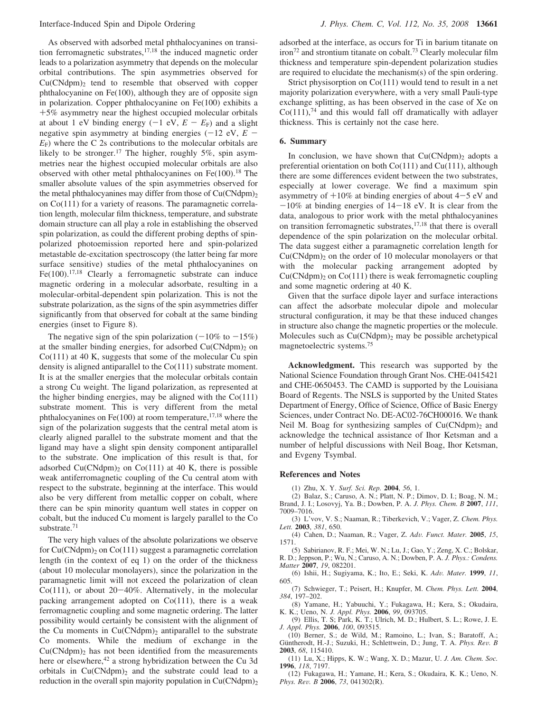As observed with adsorbed metal phthalocyanines on transition ferromagnetic substrates, $17,18$  the induced magnetic order leads to a polarization asymmetry that depends on the molecular orbital contributions. The spin asymmetries observed for  $Cu(CNdpm)<sub>2</sub>$  tend to resemble that observed with copper phthalocyanine on Fe(100), although they are of opposite sign in polarization. Copper phthalocyanine on Fe(100) exhibits a +5% asymmetry near the highest occupied molecular orbitals at about 1 eV binding energy  $(-1 \text{ eV}, E - E_F)$  and a slight negative spin asymmetry at binding energies  $(-12 \text{ eV}, E E_F$ ) where the C 2s contributions to the molecular orbitals are likely to be stronger.<sup>17</sup> The higher, roughly 5%, spin asymmetries near the highest occupied molecular orbitals are also observed with other metal phthalocyanines on  $Fe(100).<sup>18</sup>$  The smaller absolute values of the spin asymmetries observed for the metal phthalocyanines may differ from those of  $Cu(CNdpm)<sub>2</sub>$ on Co(111) for a variety of reasons. The paramagnetic correlation length, molecular film thickness, temperature, and substrate domain structure can all play a role in establishing the observed spin polarization, as could the different probing depths of spinpolarized photoemission reported here and spin-polarized metastable de-excitation spectroscopy (the latter being far more surface sensitive) studies of the metal phthalocyanines on Fe $(100)$ .<sup>17,18</sup> Clearly a ferromagnetic substrate can induce magnetic ordering in a molecular adsorbate, resulting in a molecular-orbital-dependent spin polarization. This is not the substrate polarization, as the signs of the spin asymmetries differ significantly from that observed for cobalt at the same binding energies (inset to Figure 8).

The negative sign of the spin polarization  $(-10\% \text{ to } -15\%)$ at the smaller binding energies, for adsorbed Cu(CNdpm)<sub>2</sub> on Co(111) at 40 K, suggests that some of the molecular Cu spin density is aligned antiparallel to the Co(111) substrate moment. It is at the smaller energies that the molecular orbitals contain a strong Cu weight. The ligand polarization, as represented at the higher binding energies, may be aligned with the  $Co(111)$ substrate moment. This is very different from the metal phthalocyanines on Fe(100) at room temperature,  $17,18$  where the sign of the polarization suggests that the central metal atom is clearly aligned parallel to the substrate moment and that the ligand may have a slight spin density component antiparallel to the substrate. One implication of this result is that, for adsorbed  $Cu(CNdpm)$ <sub>2</sub> on  $Co(111)$  at 40 K, there is possible weak antiferromagnetic coupling of the Cu central atom with respect to the substrate, beginning at the interface. This would also be very different from metallic copper on cobalt, where there can be spin minority quantum well states in copper on cobalt, but the induced Cu moment is largely parallel to the Co substrate.<sup>71</sup>

The very high values of the absolute polarizations we observe for  $Cu(CNdpm)$ <sub>2</sub> on  $Co(111)$  suggest a paramagnetic correlation length (in the context of eq 1) on the order of the thickness (about 10 molecular monolayers), since the polarization in the paramagnetic limit will not exceed the polarization of clean  $Co(111)$ , or about  $20-40\%$ . Alternatively, in the molecular packing arrangement adopted on Co(111), there is a weak ferromagnetic coupling and some magnetic ordering. The latter possibility would certainly be consistent with the alignment of the Cu moments in  $Cu(CNdpm)$ <sub>2</sub> antiparallel to the substrate Co moments. While the medium of exchange in the  $Cu(CNdpm)<sub>2</sub>$  has not been identified from the measurements here or elsewhere,<sup>42</sup> a strong hybridization between the Cu 3d orbitals in  $Cu(CNdpm)<sub>2</sub>$  and the substrate could lead to a reduction in the overall spin majority population in  $Cu(CNdpm)<sub>2</sub>$  adsorbed at the interface, as occurs for Ti in barium titanate on  $i$ ron<sup>72</sup> and strontium titanate on cobalt.<sup>73</sup> Clearly molecular film thickness and temperature spin-dependent polarization studies are required to elucidate the mechanism(s) of the spin ordering.

Strict physisorption on Co(111) would tend to result in a net majority polarization everywhere, with a very small Pauli-type exchange splitting, as has been observed in the case of Xe on  $Co(111),<sup>74</sup>$  and this would fall off dramatically with adlayer thickness. This is certainly not the case here.

#### **6. Summary**

In conclusion, we have shown that  $Cu(CNdpm)<sub>2</sub>$  adopts a preferential orientation on both Co(111) and Cu(111), although there are some differences evident between the two substrates, especially at lower coverage. We find a maximum spin asymmetry of  $+10\%$  at binding energies of about  $4-5$  eV and  $-10\%$  at binding energies of  $14-18$  eV. It is clear from the data, analogous to prior work with the metal phthalocyanines on transition ferromagnetic substrates,17,18 that there is overall dependence of the spin polarization on the molecular orbital. The data suggest either a paramagnetic correlation length for  $Cu(CNdpm)<sub>2</sub>$  on the order of 10 molecular monolayers or that with the molecular packing arrangement adopted by  $Cu(CNdpm)<sub>2</sub>$  on  $Co(111)$  there is weak ferromagnetic coupling and some magnetic ordering at 40 K.

Given that the surface dipole layer and surface interactions can affect the adsorbate molecular dipole and molecular structural configuration, it may be that these induced changes in structure also change the magnetic properties or the molecule. Molecules such as  $Cu(CNdpm)<sub>2</sub>$  may be possible archetypical magnetoelectric systems.75

**Acknowledgment.** This research was supported by the National Science Foundation through Grant Nos. CHE-0415421 and CHE-0650453. The CAMD is supported by the Louisiana Board of Regents. The NSLS is supported by the United States Department of Energy, Office of Science, Office of Basic Energy Sciences, under Contract No. DE-AC02-76CH00016. We thank Neil M. Boag for synthesizing samples of  $Cu(CNdpm)<sub>2</sub>$  and acknowledge the technical assistance of Ihor Ketsman and a number of helpful discussions with Neil Boag, Ihor Ketsman, and Evgeny Tsymbal.

#### **References and Notes**

(1) Zhu, X. Y. *Surf. Sci. Rep.* **2004**, *56*, 1.

(2) Balaz, S.; Caruso, A. N.; Platt, N. P.; Dimov, D. I.; Boag, N. M.; Brand, J. I.; Losovyj, Ya. B.; Dowben, P. A. *J. Phys. Chem. B* **2007**, *111*, 7009–7016.

(3) L'vov, V. S.; Naaman, R.; Tiberkevich, V.; Vager, Z. *Chem. Phys. Lett.* **2003**, *381*, 650.

(4) Cahen, D.; Naaman, R.; Vager, Z. *Ad*V*. Funct. Mater.* **<sup>2005</sup>**, *<sup>15</sup>*, 1571.

(5) Sabirianov, R. F.; Mei, W. N.; Lu, J.; Gao, Y.; Zeng, X. C.; Bolskar, R. D.; Jeppson, P.; Wu, N.; Caruso, A. N.; Dowben, P. A. *J. Phys.: Condens. Matter* **2007**, *19*, 082201.

(6) Ishii, H.; Sugiyama, K.; Ito, E.; Seki, K. *Ad*V*. Mater.* **<sup>1999</sup>**, *<sup>11</sup>*, 605.

(7) Schwieger, T.; Peisert, H.; Knupfer, M. *Chem. Phys. Lett.* **2004**, *384*, 197–202.

(8) Yamane, H.; Yabuuchi, Y.; Fukagawa, H.; Kera, S.; Okudaira, K. K.; Ueno, N. *J. Appl. Phys.* **2006**, *99*, 093705.

(9) Ellis, T. S; Park, K. T.; Ulrich, M. D.; Hulbert, S. L.; Rowe, J. E. *J. Appl. Phys.* **2006**, *100*, 093515.

(10) Berner, S.; de Wild, M.; Ramoino, L.; Ivan, S.; Baratoff, A.; Güntherodt, H.-J.; Suzuki, H.; Schlettwein, D.; Jung, T. A. *Phys. Rev. B* **2003**, *68*, 115410.

(11) Lu, X.; Hipps, K. W.; Wang, X. D.; Mazur, U. *J. Am. Chem. Soc.* **1996**, *118*, 7197.

(12) Fukagawa, H.; Yamane, H.; Kera, S.; Okudaira, K. K.; Ueno, N. *Phys. Re*V*. B* **<sup>2006</sup>**, *<sup>73</sup>*, 041302(R).